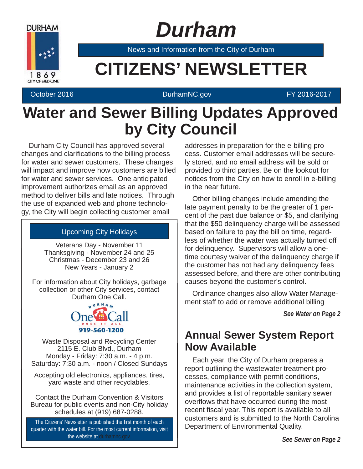

 *Durham*

News and Information from the City of Durham

# **EXAMPLE CITIZENS' NEWSLETTER**

#### October 2016 **DurhamNC.gov Community DurhamNC.gov FY 2016-2017**

# **Water and Sewer Billing Updates Approved by City Council**

 Durham City Council has approved several changes and clarifications to the billing process for water and sewer customers. These changes will impact and improve how customers are billed for water and sewer services. One anticipated improvement authorizes email as an approved method to deliver bills and late notices. Through the use of expanded web and phone technology, the City will begin collecting customer email

### Upcoming City Holidays

Veterans Day - November 11 Thanksgiving - November 24 and 25 Christmas - December 23 and 26 New Years - January 2

For information about City holidays, garbage collection or other City services, contact Durham One Call.



Waste Disposal and Recycling Center 2115 E. Club Blvd., Durham Monday - Friday: 7:30 a.m. - 4 p.m. Saturday: 7:30 a.m. - noon / Closed Sundays

Accepting old electronics, appliances, tires, yard waste and other recyclables.

Contact the Durham Convention & Visitors Bureau for public events and non-City holiday schedules at (919) 687-0288.

The Citizens' Newsletter is published the first month of each quarter with the water bill. For the most current information, visit the website at durhamnc.gov

addresses in preparation for the e-billing process. Customer email addresses will be securely stored, and no email address will be sold or provided to third parties. Be on the lookout for notices from the City on how to enroll in e-billing in the near future.

 Other billing changes include amending the late payment penalty to be the greater of 1 percent of the past due balance or \$5, and clarifying that the \$50 delinquency charge will be assessed based on failure to pay the bill on time, regardless of whether the water was actually turned off for delinquency. Supervisors will allow a onetime courtesy waiver of the delinquency charge if the customer has not had any delinquency fees assessed before, and there are other contributing causes beyond the customer's control.

 Ordinance changes also allow Water Management staff to add or remove additional billing

*See Water on Page 2*

## **Annual Sewer System Report Now Available**

 Each year, the City of Durham prepares a report outlining the wastewater treatment processes, compliance with permit conditions, maintenance activities in the collection system, and provides a list of reportable sanitary sewer overflows that have occurred during the most recent fiscal year. This report is available to all customers and is submitted to the North Carolina Department of Environmental Quality.